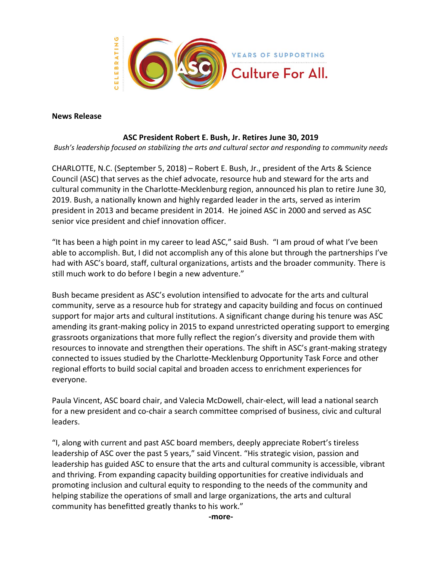

## **News Release**

## **ASC President Robert E. Bush, Jr. Retires June 30, 2019**

*Bush's leadership focused on stabilizing the arts and cultural sector and responding to community needs*

CHARLOTTE, N.C. (September 5, 2018) – Robert E. Bush, Jr., president of the Arts & Science Council (ASC) that serves as the chief advocate, resource hub and steward for the arts and cultural community in the Charlotte-Mecklenburg region, announced his plan to retire June 30, 2019. Bush, a nationally known and highly regarded leader in the arts, served as interim president in 2013 and became president in 2014. He joined ASC in 2000 and served as ASC senior vice president and chief innovation officer.

"It has been a high point in my career to lead ASC," said Bush. "I am proud of what I've been able to accomplish. But, I did not accomplish any of this alone but through the partnerships I've had with ASC's board, staff, cultural organizations, artists and the broader community. There is still much work to do before I begin a new adventure."

Bush became president as ASC's evolution intensified to advocate for the arts and cultural community, serve as a resource hub for strategy and capacity building and focus on continued support for major arts and cultural institutions. A significant change during his tenure was ASC amending its grant-making policy in 2015 to expand unrestricted operating support to emerging grassroots organizations that more fully reflect the region's diversity and provide them with resources to innovate and strengthen their operations. The shift in ASC's grant-making strategy connected to issues studied by the Charlotte-Mecklenburg Opportunity Task Force and other regional efforts to build social capital and broaden access to enrichment experiences for everyone.

Paula Vincent, ASC board chair, and Valecia McDowell, chair-elect, will lead a national search for a new president and co-chair a search committee comprised of business, civic and cultural leaders.

"I, along with current and past ASC board members, deeply appreciate Robert's tireless leadership of ASC over the past 5 years," said Vincent. "His strategic vision, passion and leadership has guided ASC to ensure that the arts and cultural community is accessible, vibrant and thriving. From expanding capacity building opportunities for creative individuals and promoting inclusion and cultural equity to responding to the needs of the community and helping stabilize the operations of small and large organizations, the arts and cultural community has benefitted greatly thanks to his work."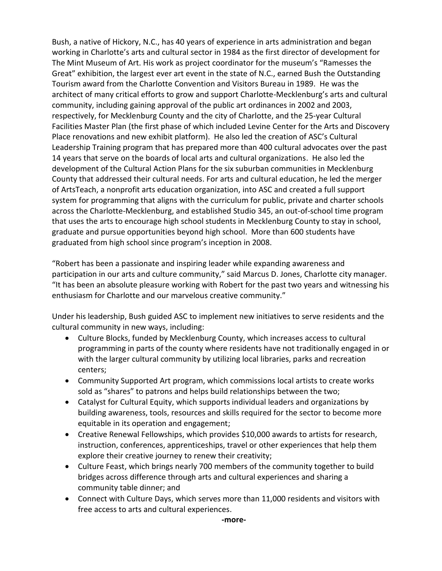Bush, a native of Hickory, N.C., has 40 years of experience in arts administration and began working in Charlotte's arts and cultural sector in 1984 as the first director of development for The Mint Museum of Art. His work as project coordinator for the museum's "Ramesses the Great" exhibition, the largest ever art event in the state of N.C., earned Bush the Outstanding Tourism award from the Charlotte Convention and Visitors Bureau in 1989. He was the architect of many critical efforts to grow and support Charlotte-Mecklenburg's arts and cultural community, including gaining approval of the public art ordinances in 2002 and 2003, respectively, for Mecklenburg County and the city of Charlotte, and the 25-year Cultural Facilities Master Plan (the first phase of which included Levine Center for the Arts and Discovery Place renovations and new exhibit platform). He also led the creation of ASC's Cultural Leadership Training program that has prepared more than 400 cultural advocates over the past 14 years that serve on the boards of local arts and cultural organizations. He also led the development of the Cultural Action Plans for the six suburban communities in Mecklenburg County that addressed their cultural needs. For arts and cultural education, he led the merger of ArtsTeach, a nonprofit arts education organization, into ASC and created a full support system for programming that aligns with the curriculum for public, private and charter schools across the Charlotte-Mecklenburg, and established Studio 345, an out-of-school time program that uses the arts to encourage high school students in Mecklenburg County to stay in school, graduate and pursue opportunities beyond high school. More than 600 students have graduated from high school since program's inception in 2008.

"Robert has been a passionate and inspiring leader while expanding awareness and participation in our arts and culture community," said Marcus D. Jones, Charlotte city manager. "It has been an absolute pleasure working with Robert for the past two years and witnessing his enthusiasm for Charlotte and our marvelous creative community."

Under his leadership, Bush guided ASC to implement new initiatives to serve residents and the cultural community in new ways, including:

- Culture Blocks, funded by Mecklenburg County, which increases access to cultural programming in parts of the county where residents have not traditionally engaged in or with the larger cultural community by utilizing local libraries, parks and recreation centers;
- Community Supported Art program, which commissions local artists to create works sold as "shares" to patrons and helps build relationships between the two;
- Catalyst for Cultural Equity, which supports individual leaders and organizations by building awareness, tools, resources and skills required for the sector to become more equitable in its operation and engagement;
- Creative Renewal Fellowships, which provides \$10,000 awards to artists for research, instruction, conferences, apprenticeships, travel or other experiences that help them explore their creative journey to renew their creativity;
- Culture Feast, which brings nearly 700 members of the community together to build bridges across difference through arts and cultural experiences and sharing a community table dinner; and
- Connect with Culture Days, which serves more than 11,000 residents and visitors with free access to arts and cultural experiences.